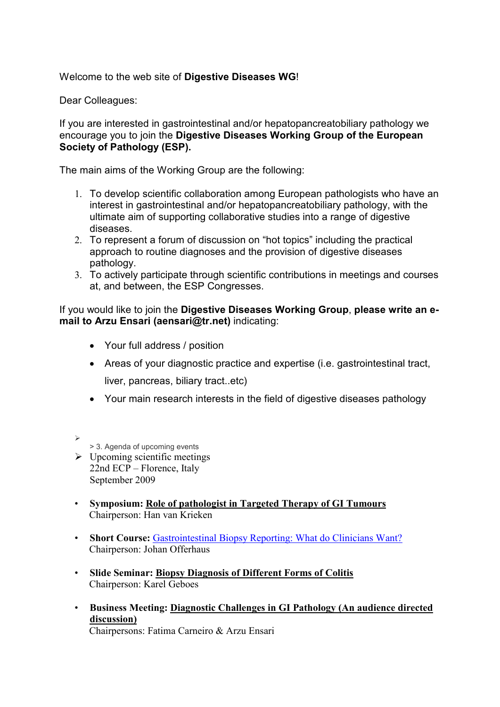Welcome to the web site of **Digestive Diseases WG**!

Dear Colleagues:

If you are interested in gastrointestinal and/or hepatopancreatobiliary pathology we encourage you to join the **Digestive Diseases Working Group of the European Society of Pathology (ESP).** 

The main aims of the Working Group are the following:

- 1. To develop scientific collaboration among European pathologists who have an interest in gastrointestinal and/or hepatopancreatobiliary pathology, with the ultimate aim of supporting collaborative studies into a range of digestive diseases.
- 2. To represent a forum of discussion on "hot topics" including the practical approach to routine diagnoses and the provision of digestive diseases pathology.
- 3. To actively participate through scientific contributions in meetings and courses at, and between, the ESP Congresses.

If you would like to join the **Digestive Diseases Working Group**, **please write an email to Arzu Ensari (aensari@tr.net)** indicating:

- Your full address / position
- Areas of your diagnostic practice and expertise (i.e. gastrointestinal tract, liver, pancreas, biliary tract..etc)
- Your main research interests in the field of digestive diseases pathology

 $\blacktriangleright$ 

> 3. Agenda of upcoming events

- $\triangleright$  Upcoming scientific meetings 22nd ECP – Florence, Italy September 2009
- **Symposium: Role of pathologist in Targeted Therapy of GI Tumours** Chairperson: Han van Krieken
- **Short Course:** Gastrointestinal Biopsy Reporting: What do Clinicians Want? Chairperson: Johan Offerhaus
- **Slide Seminar: Biopsy Diagnosis of Different Forms of Colitis** Chairperson: Karel Geboes
- **Business Meeting: Diagnostic Challenges in GI Pathology (An audience directed discussion)**

Chairpersons: Fatima Carneiro & Arzu Ensari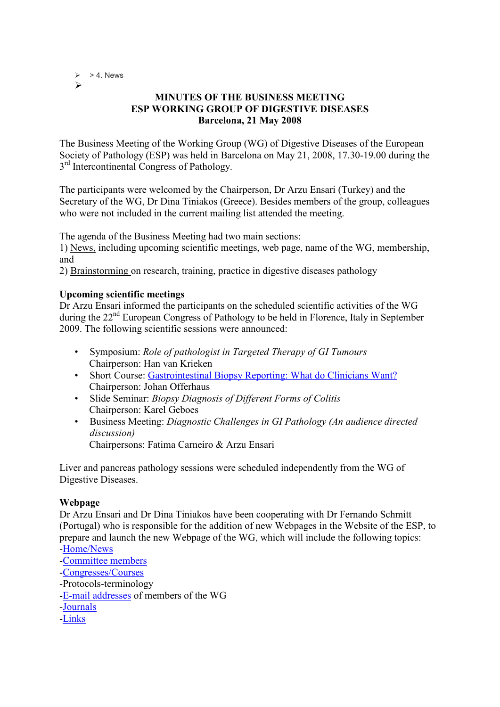$> 4.$  News  $\blacktriangleright$ 

# **MINUTES OF THE BUSINESS MEETING ESP WORKING GROUP OF DIGESTIVE DISEASES Barcelona, 21 May 2008**

The Business Meeting of the Working Group (WG) of Digestive Diseases of the European Society of Pathology (ESP) was held in Barcelona on May 21, 2008, 17.30-19.00 during the 3<sup>rd</sup> Intercontinental Congress of Pathology.

The participants were welcomed by the Chairperson, Dr Arzu Ensari (Turkey) and the Secretary of the WG, Dr Dina Tiniakos (Greece). Besides members of the group, colleagues who were not included in the current mailing list attended the meeting.

The agenda of the Business Meeting had two main sections:

1) News, including upcoming scientific meetings, web page, name of the WG, membership, and

2) Brainstorming on research, training, practice in digestive diseases pathology

### **Upcoming scientific meetings**

Dr Arzu Ensari informed the participants on the scheduled scientific activities of the WG during the 22<sup>nd</sup> European Congress of Pathology to be held in Florence, Italy in September 2009. The following scientific sessions were announced:

- Symposium: *Role of pathologist in Targeted Therapy of GI Tumours*  Chairperson: Han van Krieken
- Short Course: Gastrointestinal Biopsy Reporting: What do Clinicians Want? Chairperson: Johan Offerhaus
- Slide Seminar: *Biopsy Diagnosis of Different Forms of Colitis*  Chairperson: Karel Geboes
- Business Meeting: *Diagnostic Challenges in GI Pathology (An audience directed discussion)*  Chairpersons: Fatima Carneiro & Arzu Ensari

Liver and pancreas pathology sessions were scheduled independently from the WG of Digestive Diseases.

#### **Webpage**

Dr Arzu Ensari and Dr Dina Tiniakos have been cooperating with Dr Fernando Schmitt (Portugal) who is responsible for the addition of new Webpages in the Website of the ESP, to prepare and launch the new Webpage of the WG, which will include the following topics:

- -Home/News
- -Committee members
- -Congresses/Courses
- -Protocols-terminology
- -E-mail addresses of members of the WG
- -Journals
- -Links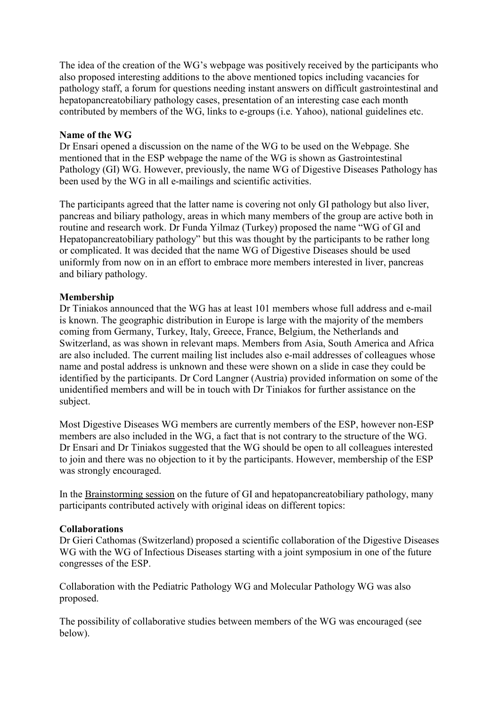The idea of the creation of the WG's webpage was positively received by the participants who also proposed interesting additions to the above mentioned topics including vacancies for pathology staff, a forum for questions needing instant answers on difficult gastrointestinal and hepatopancreatobiliary pathology cases, presentation of an interesting case each month contributed by members of the WG, links to e-groups (i.e. Yahoo), national guidelines etc.

### **Name of the WG**

Dr Ensari opened a discussion on the name of the WG to be used on the Webpage. She mentioned that in the ESP webpage the name of the WG is shown as Gastrointestinal Pathology (GI) WG. However, previously, the name WG of Digestive Diseases Pathology has been used by the WG in all e-mailings and scientific activities.

The participants agreed that the latter name is covering not only GI pathology but also liver, pancreas and biliary pathology, areas in which many members of the group are active both in routine and research work. Dr Funda Yilmaz (Turkey) proposed the name "WG of GI and Hepatopancreatobiliary pathology" but this was thought by the participants to be rather long or complicated. It was decided that the name WG of Digestive Diseases should be used uniformly from now on in an effort to embrace more members interested in liver, pancreas and biliary pathology.

### **Membership**

Dr Tiniakos announced that the WG has at least 101 members whose full address and e-mail is known. The geographic distribution in Europe is large with the majority of the members coming from Germany, Turkey, Italy, Greece, France, Belgium, the Netherlands and Switzerland, as was shown in relevant maps. Members from Asia, South America and Africa are also included. The current mailing list includes also e-mail addresses of colleagues whose name and postal address is unknown and these were shown on a slide in case they could be identified by the participants. Dr Cord Langner (Austria) provided information on some of the unidentified members and will be in touch with Dr Tiniakos for further assistance on the subject.

Most Digestive Diseases WG members are currently members of the ESP, however non-ESP members are also included in the WG, a fact that is not contrary to the structure of the WG. Dr Ensari and Dr Tiniakos suggested that the WG should be open to all colleagues interested to join and there was no objection to it by the participants. However, membership of the ESP was strongly encouraged.

In the Brainstorming session on the future of GI and hepatopancreatobiliary pathology, many participants contributed actively with original ideas on different topics:

# **Collaborations**

Dr Gieri Cathomas (Switzerland) proposed a scientific collaboration of the Digestive Diseases WG with the WG of Infectious Diseases starting with a joint symposium in one of the future congresses of the ESP.

Collaboration with the Pediatric Pathology WG and Molecular Pathology WG was also proposed.

The possibility of collaborative studies between members of the WG was encouraged (see below).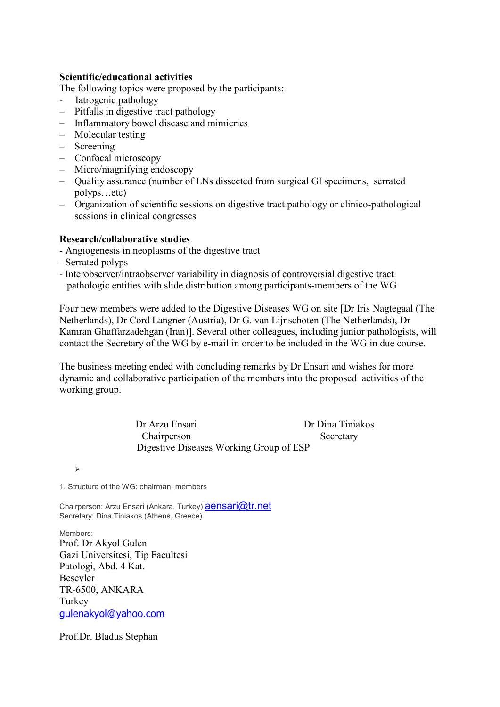### **Scientific/educational activities**

The following topics were proposed by the participants:

- Iatrogenic pathology
- Pitfalls in digestive tract pathology
- Inflammatory bowel disease and mimicries
- Molecular testing
- Screening
- Confocal microscopy
- Micro/magnifying endoscopy
- Quality assurance (number of LNs dissected from surgical GI specimens, serrated polyps…etc)
- Organization of scientific sessions on digestive tract pathology or clinico-pathological sessions in clinical congresses

# **Research/collaborative studies**

- Angiogenesis in neoplasms of the digestive tract
- Serrated polyps
- Interobserver/intraobserver variability in diagnosis of controversial digestive tract pathologic entities with slide distribution among participants-members of the WG

Four new members were added to the Digestive Diseases WG on site [Dr Iris Nagtegaal (The Netherlands), Dr Cord Langner (Austria), Dr G. van Lijnschoten (The Netherlands), Dr Kamran Ghaffarzadehgan (Iran)]. Several other colleagues, including junior pathologists, will contact the Secretary of the WG by e-mail in order to be included in the WG in due course.

The business meeting ended with concluding remarks by Dr Ensari and wishes for more dynamic and collaborative participation of the members into the proposed activities of the working group.

> Dr Arzu Ensari Dr Dina Tiniakos Chairperson Secretary Digestive Diseases Working Group of ESP

 $\blacktriangleright$ 

1. Structure of the WG: chairman, members

Chairperson: Arzu Ensari (Ankara, Turkey) **aensari@tr.net** Secretary: Dina Tiniakos (Athens, Greece)

Members: Prof. Dr Akyol Gulen Gazi Universitesi, Tip Facultesi Patologi, Abd. 4 Kat. Besevler TR-6500, ANKARA Turkey gulenakyol@yahoo.com

Prof.Dr. Bladus Stephan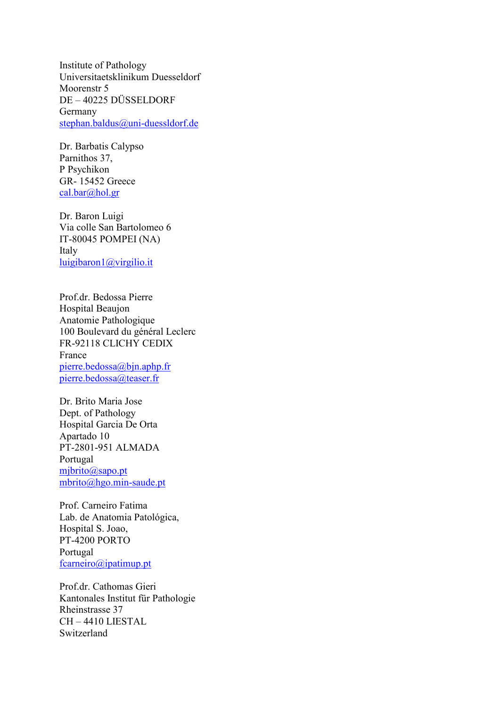Institute of Pathology Universitaetsklinikum Duesseldorf Moorenstr 5 DE – 40225 DÜSSELDORF Germany stephan.baldus@uni-duessldorf.de

Dr. Barbatis Calypso Parnithos 37, P Psychikon GR- 15452 Greece cal.bar@hol.gr

Dr. Baron Luigi Via colle San Bartolomeo 6 IT-80045 POMPEI (NA) Italy luigibaron1@virgilio.it

Prof.dr. Bedossa Pierre Hospital Beaujon Anatomie Pathologique 100 Boulevard du général Leclerc FR-92118 CLICHY CEDIX France pierre.bedossa@bjn.aphp.fr pierre.bedossa@teaser.fr

Dr. Brito Maria Jose Dept. of Pathology Hospital Garcia De Orta Apartado 10 PT-2801-951 ALMADA Portugal mjbrito@sapo.pt mbrito@hgo.min-saude.pt

Prof. Carneiro Fatima Lab. de Anatomia Patológica, Hospital S. Joao, PT-4200 PORTO Portugal fcarneiro@ipatimup.pt

Prof.dr. Cathomas Gieri Kantonales Institut für Pathologie Rheinstrasse 37 CH – 4410 LIESTAL Switzerland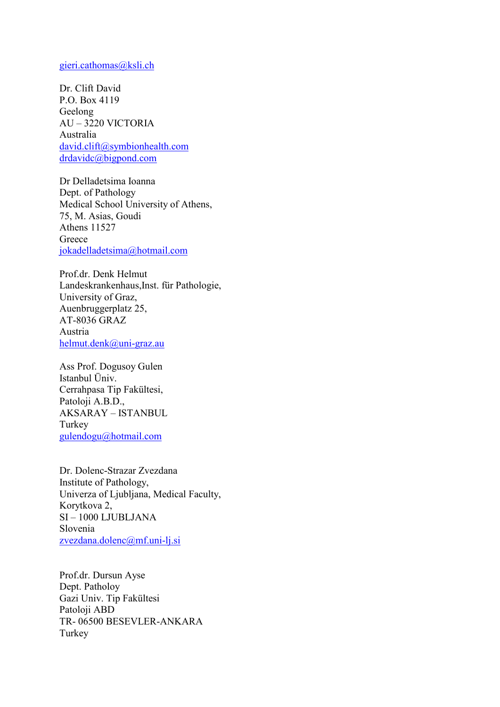#### gieri.cathomas@ksli.ch

Dr. Clift David P.O. Box 4119 Geelong AU – 3220 VICTORIA Australia david.clift@symbionhealth.com drdavidc@bigpond.com

Dr Delladetsima Ioanna Dept. of Pathology Medical School University of Athens, 75, M. Asias, Goudi Athens 11527 Greece jokadelladetsima@hotmail.com

Prof.dr. Denk Helmut Landeskrankenhaus,Inst. für Pathologie, University of Graz, Auenbruggerplatz 25, AT-8036 GRAZ Austria helmut.denk@uni-graz.au

Ass Prof. Dogusoy Gulen Istanbul Üniv. Cerrahpasa Tip Fakültesi, Patoloji A.B.D., AKSARAY – ISTANBUL Turkey gulendogu@hotmail.com

Dr. Dolenc-Strazar Zvezdana Institute of Pathology, Univerza of Ljubljana, Medical Faculty, Korytkova 2, SI – 1000 LJUBLJANA Slovenia zvezdana.dolenc@mf.uni-lj.si

Prof.dr. Dursun Ayse Dept. Patholoy Gazi Univ. Tip Fakültesi Patoloji ABD TR- 06500 BESEVLER-ANKARA Turkey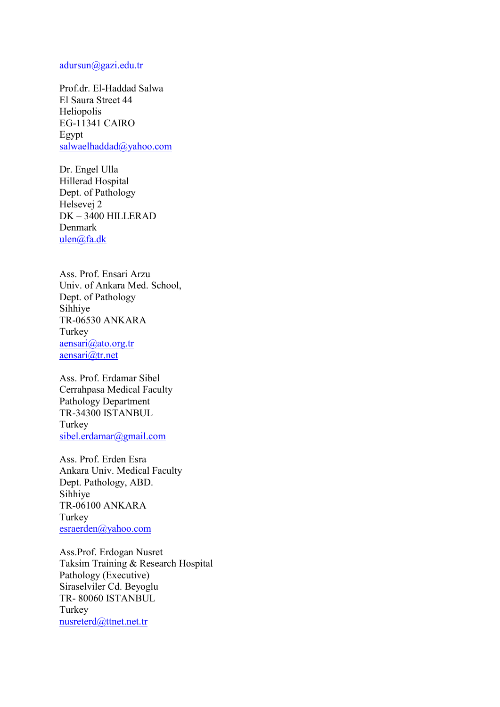#### adursun@gazi.edu.tr

Prof.dr. El-Haddad Salwa El Saura Street 44 Heliopolis EG-11341 CAIRO Egypt salwaelhaddad@yahoo.com

Dr. Engel Ulla Hillerad Hospital Dept. of Pathology Helsevej 2 DK – 3400 HILLERAD Denmark ulen@fa.dk

Ass. Prof. Ensari Arzu Univ. of Ankara Med. School, Dept. of Pathology Sihhiye TR-06530 ANKARA Turkey aensari@ato.org.tr aensari@tr.net

Ass. Prof. Erdamar Sibel Cerrahpasa Medical Faculty Pathology Department TR-34300 ISTANBUL Turkey sibel.erdamar@gmail.com

Ass. Prof. Erden Esra Ankara Univ. Medical Faculty Dept. Pathology, ABD. Sihhiye TR-06100 ANKARA Turkey esraerden@yahoo.com

Ass.Prof. Erdogan Nusret Taksim Training & Research Hospital Pathology (Executive) Siraselviler Cd. Beyoglu TR- 80060 ISTANBUL Turkey nusreterd@ttnet.net.tr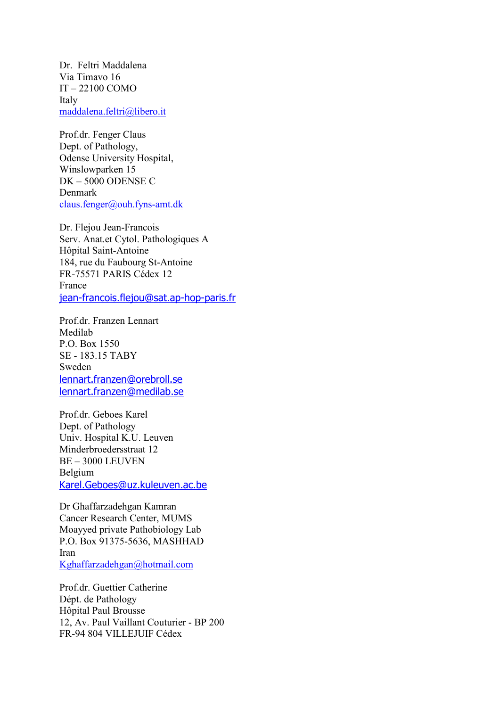Dr. Feltri Maddalena Via Timavo 16 IT – 22100 COMO Italy maddalena.feltri@libero.it

Prof.dr. Fenger Claus Dept. of Pathology, Odense University Hospital, Winslowparken 15 DK – 5000 ODENSE C Denmark claus.fenger@ouh.fyns-amt.dk

Dr. Flejou Jean-Francois Serv. Anat.et Cytol. Pathologiques A Hôpital Saint-Antoine 184, rue du Faubourg St-Antoine FR-75571 PARIS Cédex 12 France jean-francois.flejou@sat.ap-hop-paris.fr

Prof.dr. Franzen Lennart Medilab P.O. Box 1550 SE - 183.15 TABY Sweden lennart.franzen@orebroll.se lennart.franzen@medilab.se

Prof.dr. Geboes Karel Dept. of Pathology Univ. Hospital K.U. Leuven Minderbroedersstraat 12 BE – 3000 LEUVEN Belgium Karel.Geboes@uz.kuleuven.ac.be

Dr Ghaffarzadehgan Kamran Cancer Research Center, MUMS Moayyed private Pathobiology Lab P.O. Box 91375-5636, MASHHAD Iran Kghaffarzadehgan@hotmail.com

Prof.dr. Guettier Catherine Dépt. de Pathology Hôpital Paul Brousse 12, Av. Paul Vaillant Couturier - BP 200 FR-94 804 VILLEJUIF Cédex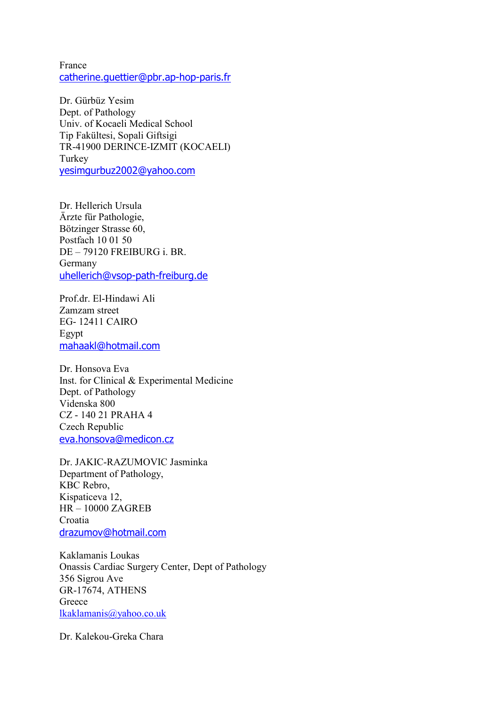France catherine.guettier@pbr.ap-hop-paris.fr

Dr. Gürbüz Yesim Dept. of Pathology Univ. of Kocaeli Medical School Tip Fakültesi, Sopali Giftsigi TR-41900 DERINCE-IZMIT (KOCAELI) Turkey yesimgurbuz2002@yahoo.com

Dr. Hellerich Ursula Ärzte für Pathologie, Bötzinger Strasse 60, Postfach 10 01 50 DE – 79120 FREIBURG i. BR. Germany uhellerich@vsop-path-freiburg.de

Prof.dr. El-Hindawi Ali Zamzam street EG- 12411 CAIRO Egypt mahaakl@hotmail.com

Dr. Honsova Eva Inst. for Clinical & Experimental Medicine Dept. of Pathology Videnska 800 CZ - 140 21 PRAHA 4 Czech Republic eva.honsova@medicon.cz

Dr. JAKIC-RAZUMOVIC Jasminka Department of Pathology, KBC Rebro, Kispaticeva 12, HR – 10000 ZAGREB Croatia drazumov@hotmail.com

Kaklamanis Loukas Onassis Cardiac Surgery Center, Dept of Pathology 356 Sigrou Ave GR-17674, ATHENS Greece lkaklamanis@yahoo.co.uk

Dr. Kalekou-Greka Chara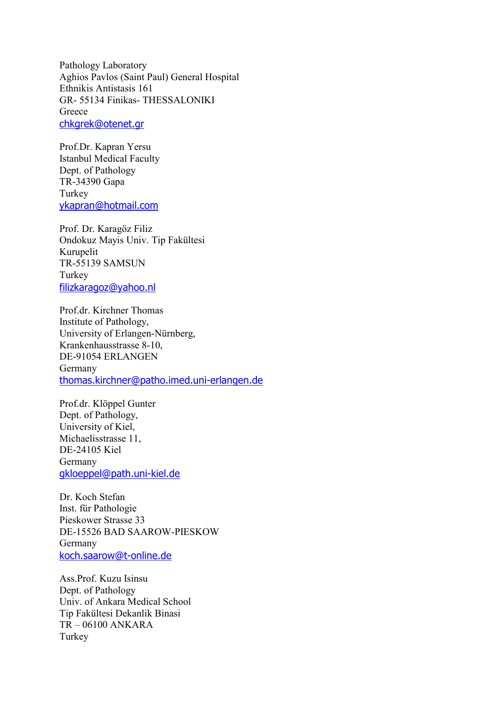Pathology Laboratory Aghios Pavlos (Saint Paul) General Hospital Ethnikis Antistasis 161 GR- 55134 Finikas- THESSALONIKI **Greece** chkgrek@otenet.gr

Prof.Dr. Kapran Yersu Istanbul Medical Faculty Dept. of Pathology TR-34390 Gapa **Turkey** ykapran@hotmail.com

Prof. Dr. Karagöz Filiz Ondokuz Mayis Univ. Tip Fakültesi Kurupelit TR-55139 SAMSUN Turkey filizkaragoz@yahoo.nl

Prof.dr. Kirchner Thomas Institute of Pathology, University of Erlangen-Nürnberg, Krankenhausstrasse 8-10, DE-91054 ERLANGEN Germany thomas.kirchner@patho.imed.uni-erlangen.de

Prof.dr. Klöppel Gunter Dept. of Pathology, University of Kiel, Michaelisstrasse 11, DE-24105 Kiel Germany gkloeppel@path.uni-kiel.de

Dr. Koch Stefan Inst. für Pathologie Pieskower Strasse 33 DE-15526 BAD SAAROW-PIESKOW Germany koch.saarow@t-online.de

Ass.Prof. Kuzu Isinsu Dept. of Pathology Univ. of Ankara Medical School Tip Fakültesi Dekanlik Binasi TR – 06100 ANKARA Turkey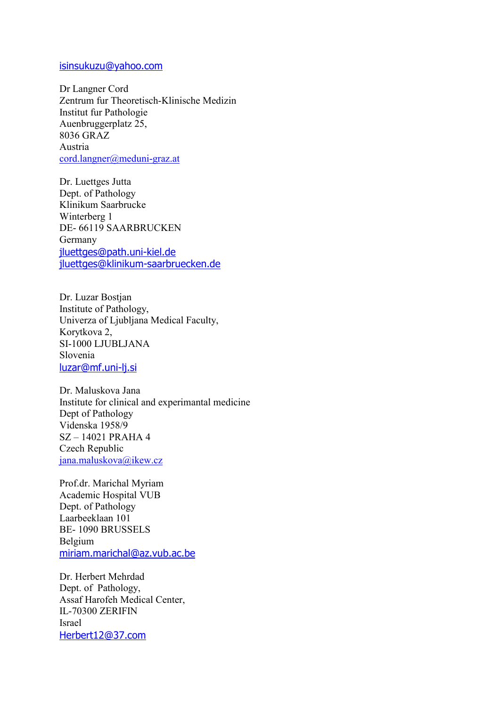### isinsukuzu@yahoo.com

Dr Langner Cord Zentrum fur Theoretisch-Klinische Medizin Institut fur Pathologie Auenbruggerplatz 25, 8036 GRAZ Austria cord.langner@meduni-graz.at

Dr. Luettges Jutta Dept. of Pathology Klinikum Saarbrucke Winterberg 1 DE- 66119 SAARBRUCKEN Germany jluettges@path.uni-kiel.de jluettges@klinikum-saarbruecken.de

Dr. Luzar Bostjan Institute of Pathology, Univerza of Ljubljana Medical Faculty, Korytkova 2, SI-1000 LJUBLJANA Slovenia luzar@mf.uni-li.si

Dr. Maluskova Jana Institute for clinical and experimantal medicine Dept of Pathology Videnska 1958/9 SZ – 14021 PRAHA 4 Czech Republic jana.maluskova@ikew.cz

Prof.dr. Marichal Myriam Academic Hospital VUB Dept. of Pathology Laarbeeklaan 101 BE- 1090 BRUSSELS Belgium miriam.marichal@az.vub.ac.be

Dr. Herbert Mehrdad Dept. of Pathology, Assaf Harofeh Medical Center, IL-70300 ZERIFIN Israel Herbert12@37.com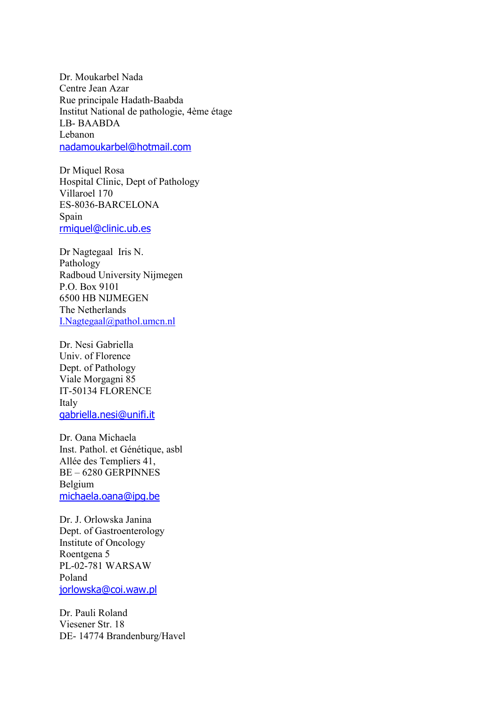Dr. Moukarbel Nada Centre Jean Azar Rue principale Hadath-Baabda Institut National de pathologie, 4ème étage LB- BAABDA Lebanon nadamoukarbel@hotmail.com

Dr Miquel Rosa Hospital Clinic, Dept of Pathology Villaroel 170 ES-8036-BARCELONA Spain rmiquel@clinic.ub.es

Dr Nagtegaal Iris N. Pathology Radboud University Nijmegen P.O. Box 9101 6500 HB NIJMEGEN The Netherlands I.Nagtegaal@pathol.umcn.nl

Dr. Nesi Gabriella Univ. of Florence Dept. of Pathology Viale Morgagni 85 IT-50134 FLORENCE Italy gabriella.nesi@unifi.it

Dr. Oana Michaela Inst. Pathol. et Génétique, asbl Allée des Templiers 41, BE – 6280 GERPINNES Belgium michaela.oana@ipg.be

Dr. J. Orlowska Janina Dept. of Gastroenterology Institute of Oncology Roentgena 5 PL-02-781 WARSAW Poland jorlowska@coi.waw.pl

Dr. Pauli Roland Viesener Str. 18 DE- 14774 Brandenburg/Havel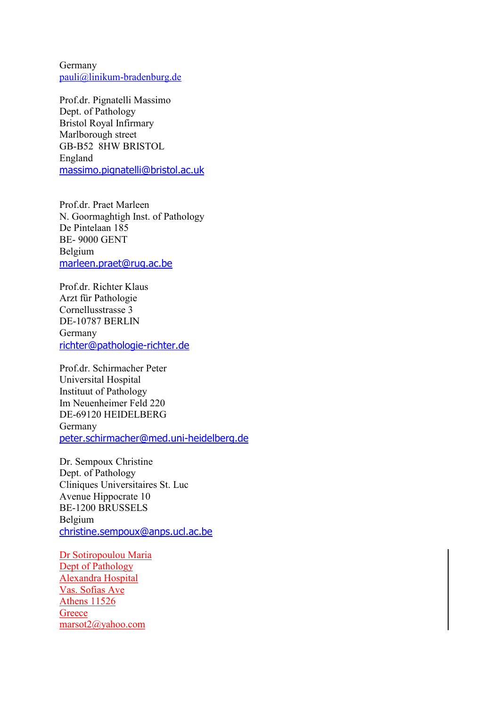Germany pauli@linikum-bradenburg.de

Prof.dr. Pignatelli Massimo Dept. of Pathology Bristol Royal Infirmary Marlborough street GB-B52 8HW BRISTOL England massimo.pignatelli@bristol.ac.uk

Prof.dr. Praet Marleen N. Goormaghtigh Inst. of Pathology De Pintelaan 185 BE- 9000 GENT Belgium marleen.praet@rug.ac.be

Prof.dr. Richter Klaus Arzt für Pathologie Cornellusstrasse 3 DE-10787 BERLIN Germany richter@pathologie-richter.de

Prof.dr. Schirmacher Peter Universital Hospital Instituut of Pathology Im Neuenheimer Feld 220 DE-69120 HEIDELBERG Germany peter.schirmacher@med.uni-heidelberg.de

Dr. Sempoux Christine Dept. of Pathology Cliniques Universitaires St. Luc Avenue Hippocrate 10 BE-1200 BRUSSELS Belgium christine.sempoux@anps.ucl.ac.be

Dr Sotiropoulou Maria Dept of Pathology Alexandra Hospital Vas. Sofias Ave Athens 11526 **Greece** marsot2@yahoo.com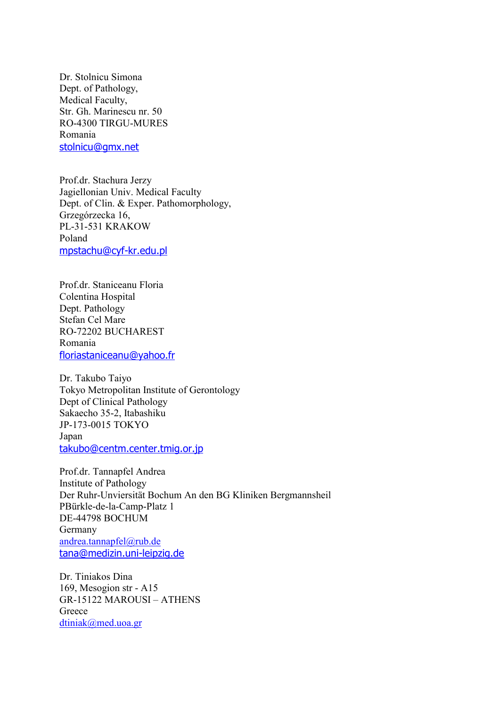Dr. Stolnicu Simona Dept. of Pathology, Medical Faculty, Str. Gh. Marinescu nr. 50 RO-4300 TIRGU-MURES Romania stolnicu@gmx.net

Prof.dr. Stachura Jerzy Jagiellonian Univ. Medical Faculty Dept. of Clin. & Exper. Pathomorphology, Grzegórzecka 16, PL-31-531 KRAKOW Poland mpstachu@cyf-kr.edu.pl

Prof.dr. Staniceanu Floria Colentina Hospital Dept. Pathology Stefan Cel Mare RO-72202 BUCHAREST Romania floriastaniceanu@yahoo.fr

Dr. Takubo Taiyo Tokyo Metropolitan Institute of Gerontology Dept of Clinical Pathology Sakaecho 35-2, Itabashiku JP-173-0015 TOKYO Japan takubo@centm.center.tmig.or.jp

Prof.dr. Tannapfel Andrea Institute of Pathology Der Ruhr-Unviersität Bochum An den BG Kliniken Bergmannsheil PBürkle-de-la-Camp-Platz 1 DE-44798 BOCHUM Germany andrea.tannapfel@rub.de tana@medizin.uni-leipzig.de

Dr. Tiniakos Dina 169, Mesogion str - A15 GR-15122 MAROUSI – ATHENS Greece dtiniak@med.uoa.gr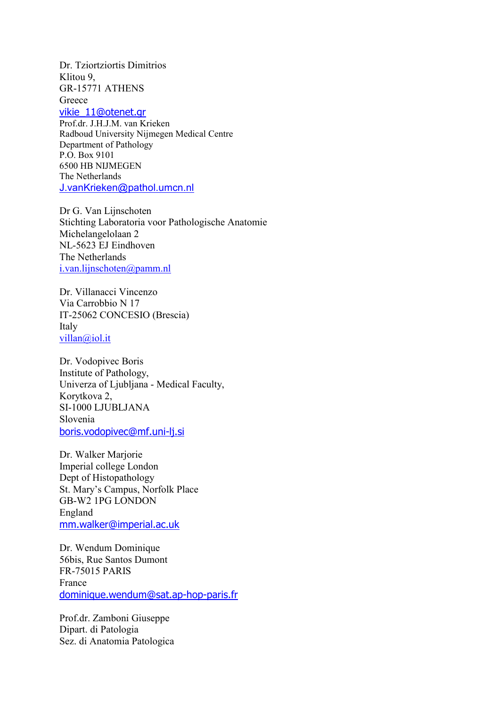Dr. Tziortziortis Dimitrios Klitou 9, GR-15771 ATHENS **Greece** vikie\_11@otenet.gr

Prof.dr. J.H.J.M. van Krieken Radboud University Nijmegen Medical Centre Department of Pathology P.O. Box 9101 6500 HB NIJMEGEN

The Netherlands J.vanKrieken@pathol.umcn.nl

Dr G. Van Lijnschoten Stichting Laboratoria voor Pathologische Anatomie Michelangelolaan 2 NL-5623 EJ Eindhoven The Netherlands i.van.lijnschoten@pamm.nl

Dr. Villanacci Vincenzo Via Carrobbio N 17 IT-25062 CONCESIO (Brescia) Italy villan@iol.it

Dr. Vodopivec Boris Institute of Pathology, Univerza of Ljubljana - Medical Faculty, Korytkova 2, SI-1000 LJUBLJANA Slovenia boris.vodopivec@mf.uni-lj.si

Dr. Walker Marjorie Imperial college London Dept of Histopathology St. Mary's Campus, Norfolk Place GB-W2 1PG LONDON England mm.walker@imperial.ac.uk

Dr. Wendum Dominique 56bis, Rue Santos Dumont FR-75015 PARIS France dominique.wendum@sat.ap-hop-paris.fr

Prof.dr. Zamboni Giuseppe Dipart. di Patologia Sez. di Anatomia Patologica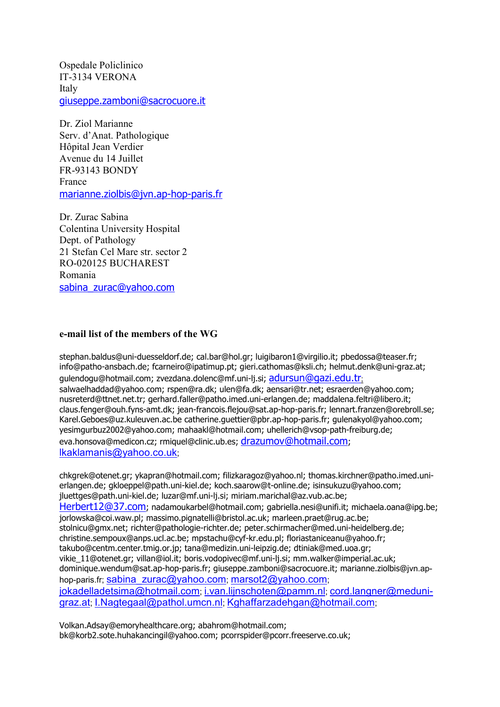Ospedale Policlinico IT-3134 VERONA Italy giuseppe.zamboni@sacrocuore.it

Dr. Ziol Marianne Serv. d'Anat. Pathologique Hôpital Jean Verdier Avenue du 14 Juillet FR-93143 BONDY France marianne.ziolbis@jvn.ap-hop-paris.fr

Dr. Zurac Sabina Colentina University Hospital Dept. of Pathology 21 Stefan Cel Mare str. sector 2 RO-020125 BUCHAREST Romania sabina\_zurac@yahoo.com

#### **e-mail list of the members of the WG**

stephan.baldus@uni-duesseldorf.de; cal.bar@hol.gr; luigibaron1@virgilio.it; pbedossa@teaser.fr; info@patho-ansbach.de; fcarneiro@ipatimup.pt; gieri.cathomas@ksli.ch; helmut.denk@uni-graz.at; gulendogu@hotmail.com; zvezdana.dolenc@mf.uni-li.si; adursun@gazi.edu.tr: salwaelhaddad@yahoo.com; rspen@ra.dk; ulen@fa.dk; aensari@tr.net; esraerden@yahoo.com; nusreterd@ttnet.net.tr; gerhard.faller@patho.imed.uni-erlangen.de; maddalena.feltri@libero.it; claus.fenger@ouh.fyns-amt.dk; jean-francois.flejou@sat.ap-hop-paris.fr; lennart.franzen@orebroll.se; Karel.Geboes@uz.kuleuven.ac.be catherine.guettier@pbr.ap-hop-paris.fr; gulenakyol@yahoo.com; yesimgurbuz2002@yahoo.com; mahaakl@hotmail.com; uhellerich@vsop-path-freiburg.de; eva.honsova@medicon.cz; rmiquel@clinic.ub.es; drazumov@hotmail.com; lkaklamanis@yahoo.co.uk;

chkgrek@otenet.gr; ykapran@hotmail.com; filizkaragoz@yahoo.nl; thomas.kirchner@patho.imed.unierlangen.de; gkloeppel@path.uni-kiel.de; koch.saarow@t-online.de; isinsukuzu@yahoo.com; jluettges@path.uni-kiel.de; luzar@mf.uni-lj.si; miriam.marichal@az.vub.ac.be; Herbert12@37.com; nadamoukarbel@hotmail.com; gabriella.nesi@unifi.it; michaela.oana@ipg.be; jorlowska@coi.waw.pl; massimo.pignatelli@bristol.ac.uk; marleen.praet@rug.ac.be; stolnicu@gmx.net; richter@pathologie-richter.de; peter.schirmacher@med.uni-heidelberg.de; christine.sempoux@anps.ucl.ac.be; mpstachu@cyf-kr.edu.pl; floriastaniceanu@yahoo.fr; takubo@centm.center.tmig.or.jp; tana@medizin.uni-leipzig.de; dtiniak@med.uoa.gr; vikie\_11@otenet.gr; villan@iol.it; boris.vodopivec@mf.uni-lj.si; mm.walker@imperial.ac.uk; dominique.wendum@sat.ap-hop-paris.fr; giuseppe.zamboni@sacrocuore.it; marianne.ziolbis@jvn.aphop-paris.fr; sabina\_zurac@yahoo.com; marsot2@yahoo.com; jokadelladetsima@hotmail.com; i.van.lijnschoten@pamm.nl; cord.langner@medunigraz.at; I.Nagtegaal@pathol.umcn.nl; Kghaffarzadehgan@hotmail.com;

Volkan.Adsay@emoryhealthcare.org; abahrom@hotmail.com; bk@korb2.sote.huhakancingil@yahoo.com; pcorrspider@pcorr.freeserve.co.uk;